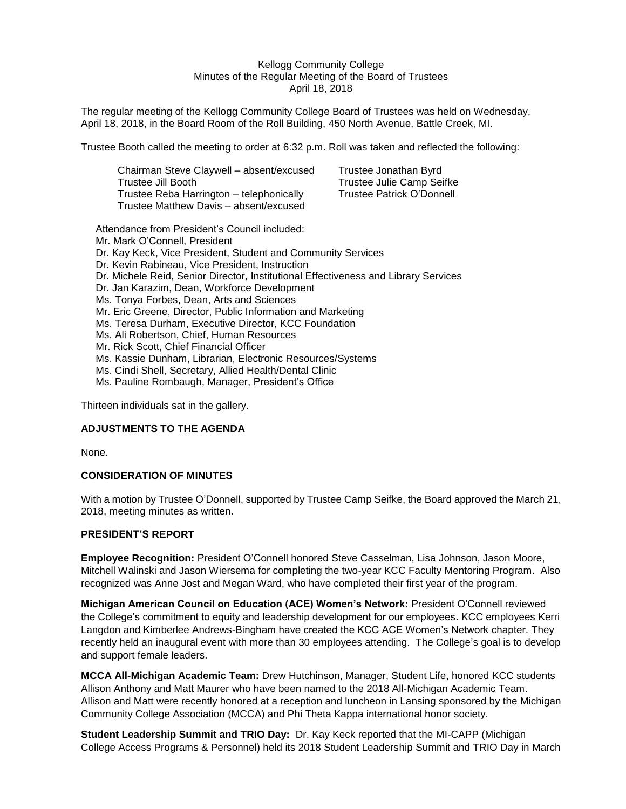### Kellogg Community College Minutes of the Regular Meeting of the Board of Trustees April 18, 2018

The regular meeting of the Kellogg Community College Board of Trustees was held on Wednesday, April 18, 2018, in the Board Room of the Roll Building, 450 North Avenue, Battle Creek, MI.

Trustee Booth called the meeting to order at 6:32 p.m. Roll was taken and reflected the following:

| Chairman Steve Claywell - absent/excused | Trustee Jonathan Byrd     |
|------------------------------------------|---------------------------|
| Trustee Jill Booth                       | Trustee Julie Camp Seifke |
| Trustee Reba Harrington - telephonically | Trustee Patrick O'Donnell |
| Trustee Matthew Davis - absent/excused   |                           |

Attendance from President's Council included: Mr. Mark O'Connell, President Dr. Kay Keck, Vice President, Student and Community Services Dr. Kevin Rabineau, Vice President, Instruction Dr. Michele Reid, Senior Director, Institutional Effectiveness and Library Services Dr. Jan Karazim, Dean, Workforce Development Ms. Tonya Forbes, Dean, Arts and Sciences Mr. Eric Greene, Director, Public Information and Marketing Ms. Teresa Durham, Executive Director, KCC Foundation Ms. Ali Robertson, Chief, Human Resources Mr. Rick Scott, Chief Financial Officer Ms. Kassie Dunham, Librarian, Electronic Resources/Systems Ms. Cindi Shell, Secretary, Allied Health/Dental Clinic Ms. Pauline Rombaugh, Manager, President's Office

Thirteen individuals sat in the gallery.

### **ADJUSTMENTS TO THE AGENDA**

None.

### **CONSIDERATION OF MINUTES**

With a motion by Trustee O'Donnell, supported by Trustee Camp Seifke, the Board approved the March 21, 2018, meeting minutes as written.

### **PRESIDENT'S REPORT**

**Employee Recognition:** President O'Connell honored Steve Casselman, Lisa Johnson, Jason Moore, Mitchell Walinski and Jason Wiersema for completing the two-year KCC Faculty Mentoring Program. Also recognized was Anne Jost and Megan Ward, who have completed their first year of the program.

**Michigan American Council on Education (ACE) Women's Network:** President O'Connell reviewed the College's commitment to equity and leadership development for our employees. KCC employees Kerri Langdon and Kimberlee Andrews-Bingham have created the KCC ACE Women's Network chapter. They recently held an inaugural event with more than 30 employees attending. The College's goal is to develop and support female leaders.

**MCCA All-Michigan Academic Team:** Drew Hutchinson, Manager, Student Life, honored KCC students Allison Anthony and Matt Maurer who have been named to the 2018 All-Michigan Academic Team. Allison and Matt were recently honored at a reception and luncheon in Lansing sponsored by the Michigan Community College Association (MCCA) and Phi Theta Kappa international honor society.

**Student Leadership Summit and TRIO Day:** Dr. Kay Keck reported that the MI-CAPP (Michigan College Access Programs & Personnel) held its 2018 Student Leadership Summit and TRIO Day in March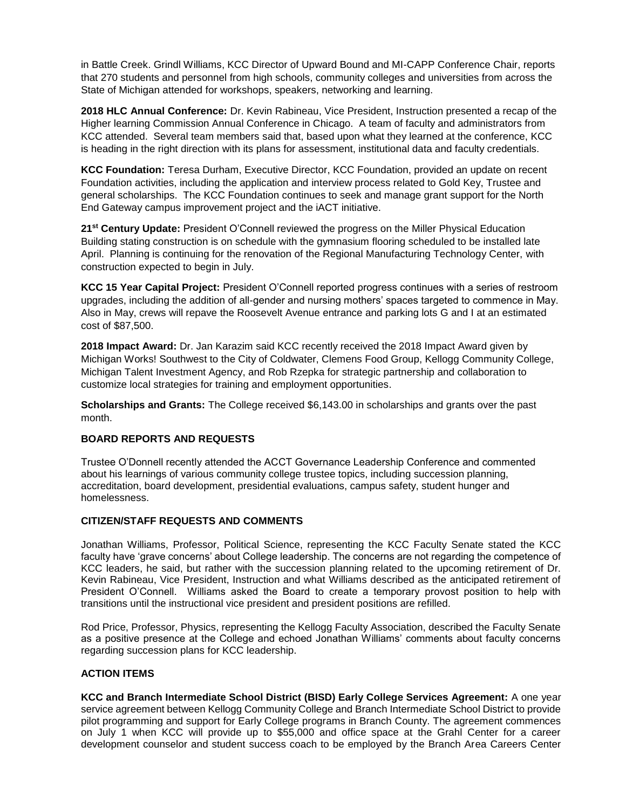in Battle Creek. Grindl Williams, KCC Director of Upward Bound and MI-CAPP Conference Chair, reports that 270 students and personnel from high schools, community colleges and universities from across the State of Michigan attended for workshops, speakers, networking and learning.

**2018 HLC Annual Conference:** Dr. Kevin Rabineau, Vice President, Instruction presented a recap of the Higher learning Commission Annual Conference in Chicago. A team of faculty and administrators from KCC attended. Several team members said that, based upon what they learned at the conference, KCC is heading in the right direction with its plans for assessment, institutional data and faculty credentials.

**KCC Foundation:** Teresa Durham, Executive Director, KCC Foundation, provided an update on recent Foundation activities, including the application and interview process related to Gold Key, Trustee and general scholarships. The KCC Foundation continues to seek and manage grant support for the North End Gateway campus improvement project and the iACT initiative.

**21st Century Update:** President O'Connell reviewed the progress on the Miller Physical Education Building stating construction is on schedule with the gymnasium flooring scheduled to be installed late April. Planning is continuing for the renovation of the Regional Manufacturing Technology Center, with construction expected to begin in July.

**KCC 15 Year Capital Project:** President O'Connell reported progress continues with a series of restroom upgrades, including the addition of all-gender and nursing mothers' spaces targeted to commence in May. Also in May, crews will repave the Roosevelt Avenue entrance and parking lots G and I at an estimated cost of \$87,500.

**2018 Impact Award:** Dr. Jan Karazim said KCC recently received the 2018 Impact Award given by Michigan Works! Southwest to the City of Coldwater, Clemens Food Group, Kellogg Community College, Michigan Talent Investment Agency, and Rob Rzepka for strategic partnership and collaboration to customize local strategies for training and employment opportunities.

**Scholarships and Grants:** The College received \$6,143.00 in scholarships and grants over the past month.

## **BOARD REPORTS AND REQUESTS**

Trustee O'Donnell recently attended the ACCT Governance Leadership Conference and commented about his learnings of various community college trustee topics, including succession planning, accreditation, board development, presidential evaluations, campus safety, student hunger and homelessness.

### **CITIZEN/STAFF REQUESTS AND COMMENTS**

Jonathan Williams, Professor, Political Science, representing the KCC Faculty Senate stated the KCC faculty have 'grave concerns' about College leadership. The concerns are not regarding the competence of KCC leaders, he said, but rather with the succession planning related to the upcoming retirement of Dr. Kevin Rabineau, Vice President, Instruction and what Williams described as the anticipated retirement of President O'Connell. Williams asked the Board to create a temporary provost position to help with transitions until the instructional vice president and president positions are refilled.

Rod Price, Professor, Physics, representing the Kellogg Faculty Association, described the Faculty Senate as a positive presence at the College and echoed Jonathan Williams' comments about faculty concerns regarding succession plans for KCC leadership.

### **ACTION ITEMS**

**KCC and Branch Intermediate School District (BISD) Early College Services Agreement:** A one year service agreement between Kellogg Community College and Branch Intermediate School District to provide pilot programming and support for Early College programs in Branch County. The agreement commences on July 1 when KCC will provide up to \$55,000 and office space at the Grahl Center for a career development counselor and student success coach to be employed by the Branch Area Careers Center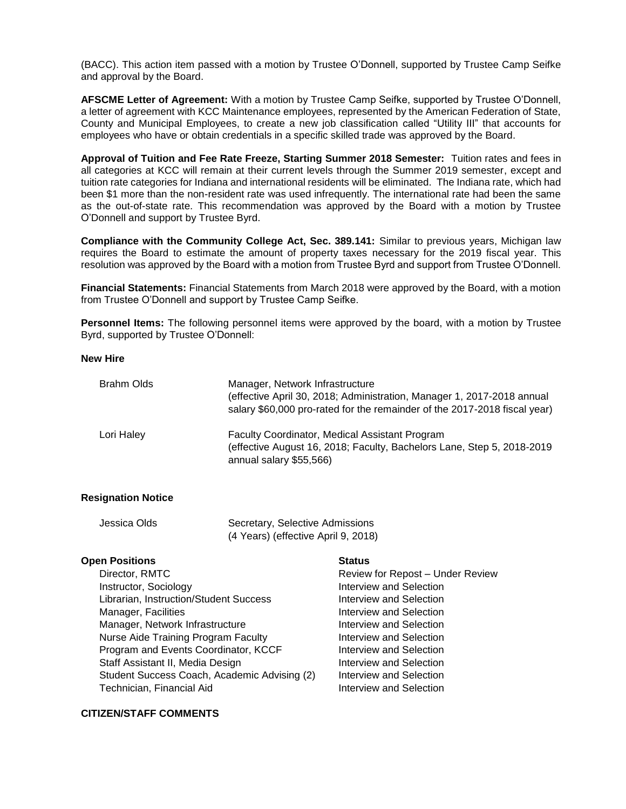(BACC). This action item passed with a motion by Trustee O'Donnell, supported by Trustee Camp Seifke and approval by the Board.

**AFSCME Letter of Agreement:** With a motion by Trustee Camp Seifke, supported by Trustee O'Donnell, a letter of agreement with KCC Maintenance employees, represented by the American Federation of State, County and Municipal Employees, to create a new job classification called "Utility III" that accounts for employees who have or obtain credentials in a specific skilled trade was approved by the Board.

**Approval of Tuition and Fee Rate Freeze, Starting Summer 2018 Semester:** Tuition rates and fees in all categories at KCC will remain at their current levels through the Summer 2019 semester, except and tuition rate categories for Indiana and international residents will be eliminated. The Indiana rate, which had been \$1 more than the non-resident rate was used infrequently. The international rate had been the same as the out-of-state rate. This recommendation was approved by the Board with a motion by Trustee O'Donnell and support by Trustee Byrd.

**Compliance with the Community College Act, Sec. 389.141:** Similar to previous years, Michigan law requires the Board to estimate the amount of property taxes necessary for the 2019 fiscal year. This resolution was approved by the Board with a motion from Trustee Byrd and support from Trustee O'Donnell.

**Financial Statements:** Financial Statements from March 2018 were approved by the Board, with a motion from Trustee O'Donnell and support by Trustee Camp Seifke.

**Personnel Items:** The following personnel items were approved by the board, with a motion by Trustee Byrd, supported by Trustee O'Donnell:

**New Hire**

| Brahm Olds | Manager, Network Infrastructure<br>(effective April 30, 2018; Administration, Manager 1, 2017-2018 annual<br>salary \$60,000 pro-rated for the remainder of the 2017-2018 fiscal year) |
|------------|----------------------------------------------------------------------------------------------------------------------------------------------------------------------------------------|
| Lori Haley | <b>Faculty Coordinator, Medical Assistant Program</b><br>(effective August 16, 2018; Faculty, Bachelors Lane, Step 5, 2018-2019<br>annual salary \$55,566)                             |

### **Resignation Notice**

| Jessica Olds | Secretary, Selective Admissions     |
|--------------|-------------------------------------|
|              | (4 Years) (effective April 9, 2018) |

#### **Open Positions Status**

Director, RMTC **Review for Repost – Under Review** Instructor, Sociology **Interview** and Selection Librarian, Instruction/Student Success Interview and Selection Manager, Facilities **Interview** and Selection Manager, Network Infrastructure **Interview** and Selection Nurse Aide Training Program Faculty **Interview and Selection** Program and Events Coordinator, KCCF Interview and Selection Staff Assistant II, Media Design **Interview** and Selection Student Success Coach, Academic Advising (2) Interview and Selection Technician, Financial Aid **Interview and Selection** 

# **CITIZEN/STAFF COMMENTS**